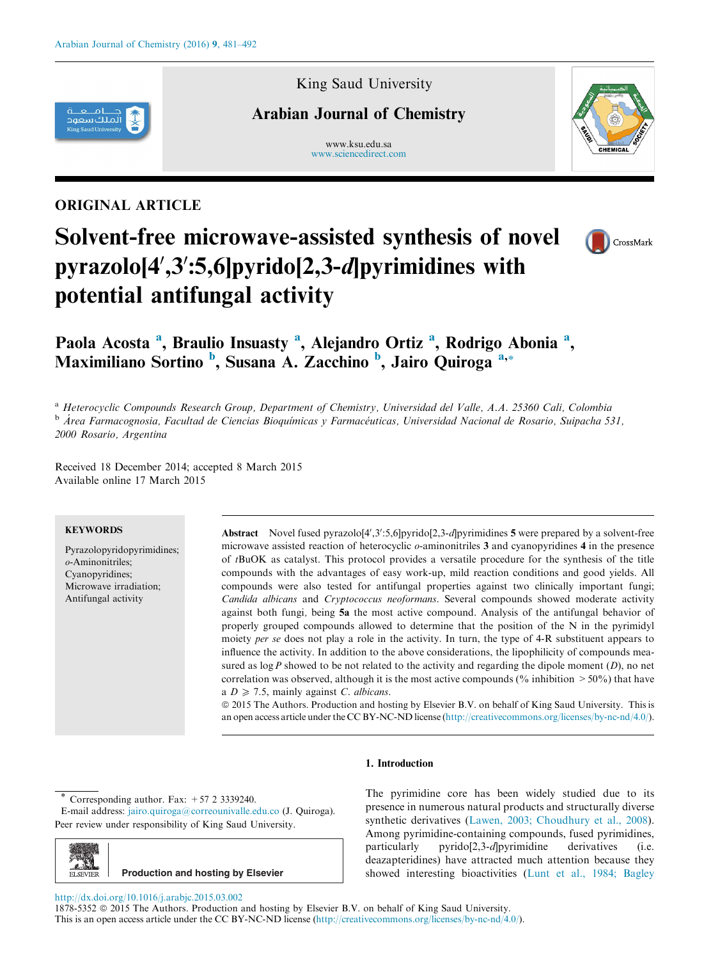

# King Saud University

# Arabian Journal of Chemistry

www.ksu.edu.sa [www.sciencedirect.com](http://www.sciencedirect.com/science/journal/18785352)



# ORIGINAL ARTICLE

# Solvent-free microwave-assisted synthesis of novel pyrazolo[4',3':5,6]pyrido[2,3-d]pyrimidines with potential antifungal activity



# Paola Acosta<sup>a</sup>, Braulio Insuasty<sup>a</sup>, Alejandro Ortiz<sup>a</sup>, Rodrigo Abonia<sup>a</sup>, Maximiliano Sortino <sup>b</sup>, Susana A. Zacchino <sup>b</sup>, Jairo Quiroga<sup>a,\*</sup>

<sup>a</sup> Heterocyclic Compounds Research Group, Department of Chemistry, Universidad del Valle, A.A. 25360 Cali, Colombia <sup>b</sup> Área Farmacognosia, Facultad de Ciencias Bioquímicas y Farmacéuticas, Universidad Nacional de Rosario, Suipacha 531, 2000 Rosario, Argentina

Received 18 December 2014; accepted 8 March 2015 Available online 17 March 2015

#### **KEYWORDS**

Pyrazolopyridopyrimidines; o-Aminonitriles; Cyanopyridines; Microwave irradiation; Antifungal activity

Abstract Novel fused pyrazolo[4',3':5,6]pyrido[2,3-d]pyrimidines 5 were prepared by a solvent-free microwave assisted reaction of heterocyclic o-aminonitriles 3 and cyanopyridines 4 in the presence of tBuOK as catalyst. This protocol provides a versatile procedure for the synthesis of the title compounds with the advantages of easy work-up, mild reaction conditions and good yields. All compounds were also tested for antifungal properties against two clinically important fungi; Candida albicans and Cryptococcus neoformans. Several compounds showed moderate activity against both fungi, being 5a the most active compound. Analysis of the antifungal behavior of properly grouped compounds allowed to determine that the position of the N in the pyrimidyl moiety per se does not play a role in the activity. In turn, the type of 4-R substituent appears to influence the activity. In addition to the above considerations, the lipophilicity of compounds measured as  $\log P$  showed to be not related to the activity and regarding the dipole moment  $(D)$ , no net correlation was observed, although it is the most active compounds ( $\%$  inhibition  $>50\%$ ) that have a  $D \ge 7.5$ , mainly against C. albicans.

ª 2015 The Authors. Production and hosting by Elsevier B.V. on behalf of King Saud University. This is an open access article under the CC BY-NC-ND license ([http://creativecommons.org/licenses/by-nc-nd/4.0/\)](http://creativecommons.org/licenses/by-nc-nd/4.0/).

#### 1. Introduction

Corresponding author. Fax:  $+57$  2 3339240.

E-mail address: [jairo.quiroga@correounivalle.edu.co](mailto:jairo.quiroga@correounivalle.edu.co) (J. Quiroga). Peer review under responsibility of King Saud University.



The pyrimidine core has been widely studied due to its presence in numerous natural products and structurally diverse synthetic derivatives ([Lawen, 2003; Choudhury et al., 2008](#page-10-0)). Among pyrimidine-containing compounds, fused pyrimidines, particularly pyrido[2,3-d]pyrimidine derivatives (i.e. deazapteridines) have attracted much attention because they showed interesting bioactivities [\(Lunt et al., 1984; Bagley](#page-10-0)

#### <http://dx.doi.org/10.1016/j.arabjc.2015.03.002>

1878-5352  $\circledcirc$  2015 The Authors. Production and hosting by Elsevier B.V. on behalf of King Saud University. This is an open access article under the CC BY-NC-ND license ([http://creativecommons.org/licenses/by-nc-nd/4.0/\)](http://creativecommons.org/licenses/by-nc-nd/4.0/).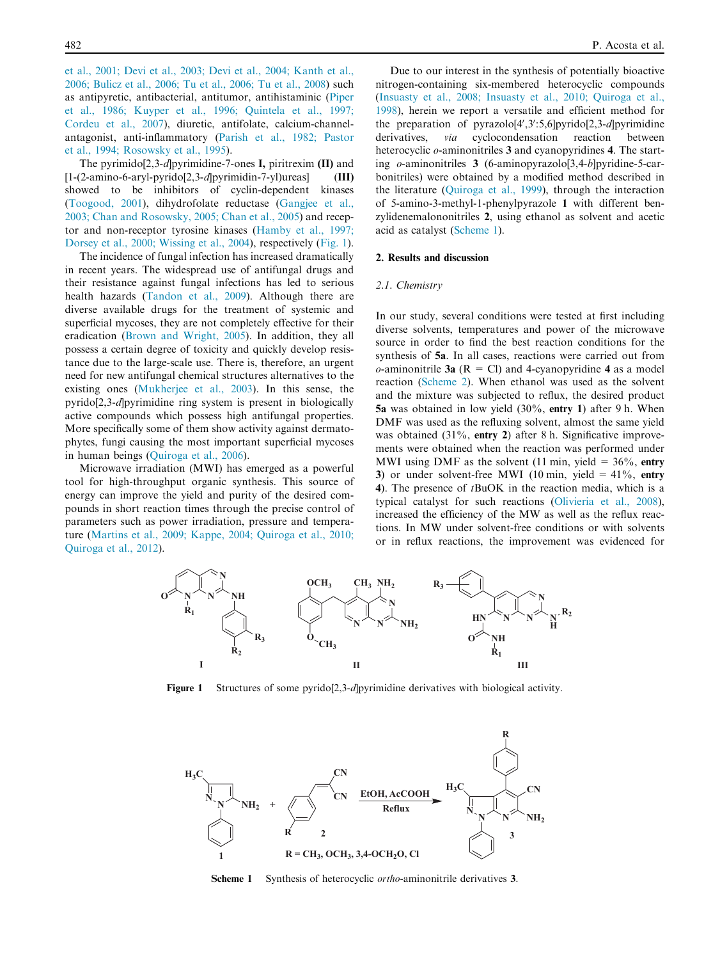[et al., 2001; Devi et al., 2003; Devi et al., 2004; Kanth et al.,](#page-10-0) [2006; Bulicz et al., 2006; Tu et al., 2006; Tu et al., 2008\)](#page-10-0) such as antipyretic, antibacterial, antitumor, antihistaminic ([Piper](#page-11-0) [et al., 1986; Kuyper et al., 1996; Quintela et al., 1997;](#page-11-0) [Cordeu et al., 2007](#page-11-0)), diuretic, antifolate, calcium-channelantagonist, anti-inflammatory [\(Parish et al., 1982; Pastor](#page-11-0) [et al., 1994; Rosowsky et al., 1995\)](#page-11-0).

The pyrimido[2,3-d]pyrimidine-7-ones I, piritrexim (II) and [1-(2-amino-6-aryl-pyrido[2,3-d]pyrimidin-7-yl)ureas] (III) showed to be inhibitors of cyclin-dependent kinases ([Toogood, 2001\)](#page-11-0), dihydrofolate reductase [\(Gangjee et al.,](#page-10-0) [2003; Chan and Rosowsky, 2005; Chan et al., 2005\)](#page-10-0) and receptor and non-receptor tyrosine kinases [\(Hamby et al., 1997;](#page-10-0) [Dorsey et al., 2000; Wissing et al., 2004\)](#page-10-0), respectively (Fig. 1).

The incidence of fungal infection has increased dramatically in recent years. The widespread use of antifungal drugs and their resistance against fungal infections has led to serious health hazards ([Tandon et al., 2009\)](#page-11-0). Although there are diverse available drugs for the treatment of systemic and superficial mycoses, they are not completely effective for their eradication ([Brown and Wright, 2005](#page-10-0)). In addition, they all possess a certain degree of toxicity and quickly develop resistance due to the large-scale use. There is, therefore, an urgent need for new antifungal chemical structures alternatives to the existing ones [\(Mukherjee et al., 2003\)](#page-10-0). In this sense, the pyrido[2,3-d]pyrimidine ring system is present in biologically active compounds which possess high antifungal properties. More specifically some of them show activity against dermatophytes, fungi causing the most important superficial mycoses in human beings [\(Quiroga et al., 2006](#page-11-0)).

Microwave irradiation (MWI) has emerged as a powerful tool for high-throughput organic synthesis. This source of energy can improve the yield and purity of the desired compounds in short reaction times through the precise control of parameters such as power irradiation, pressure and temperature [\(Martins et al., 2009; Kappe, 2004; Quiroga et al., 2010;](#page-10-0) [Quiroga et al., 2012](#page-10-0)).

Due to our interest in the synthesis of potentially bioactive nitrogen-containing six-membered heterocyclic compounds ([Insuasty et al., 2008; Insuasty et al., 2010; Quiroga et al.,](#page-10-0) [1998\)](#page-10-0), herein we report a versatile and efficient method for the preparation of pyrazolo[4',3':5,6]pyrido[2,3-d]pyrimidine derivatives, *via* cyclocondensation reaction between heterocyclic *o*-aminonitriles 3 and cyanopyridines 4. The starting o-aminonitriles 3 (6-aminopyrazolo[3,4-b]pyridine-5-carbonitriles) were obtained by a modified method described in the literature ([Quiroga et al., 1999\)](#page-11-0), through the interaction of 5-amino-3-methyl-1-phenylpyrazole 1 with different benzylidenemalononitriles 2, using ethanol as solvent and acetic acid as catalyst (Scheme 1).

#### 2. Results and discussion

#### 2.1. Chemistry

In our study, several conditions were tested at first including diverse solvents, temperatures and power of the microwave source in order to find the best reaction conditions for the synthesis of 5a. In all cases, reactions were carried out from  $o$ -aminonitrile 3a (R = Cl) and 4-cyanopyridine 4 as a model reaction ([Scheme 2](#page-2-0)). When ethanol was used as the solvent and the mixture was subjected to reflux, the desired product 5a was obtained in low yield (30%, entry 1) after 9 h. When DMF was used as the refluxing solvent, almost the same yield was obtained (31%, entry 2) after 8 h. Significative improvements were obtained when the reaction was performed under MWI using DMF as the solvent (11 min, yield =  $36\%$ , entry 3) or under solvent-free MWI (10 min, yield =  $41\%$ , entry 4). The presence of tBuOK in the reaction media, which is a typical catalyst for such reactions ([Olivieria et al., 2008](#page-10-0)), increased the efficiency of the MW as well as the reflux reactions. In MW under solvent-free conditions or with solvents or in reflux reactions, the improvement was evidenced for



Figure 1 Structures of some pyrido[2,3-d]pyrimidine derivatives with biological activity.



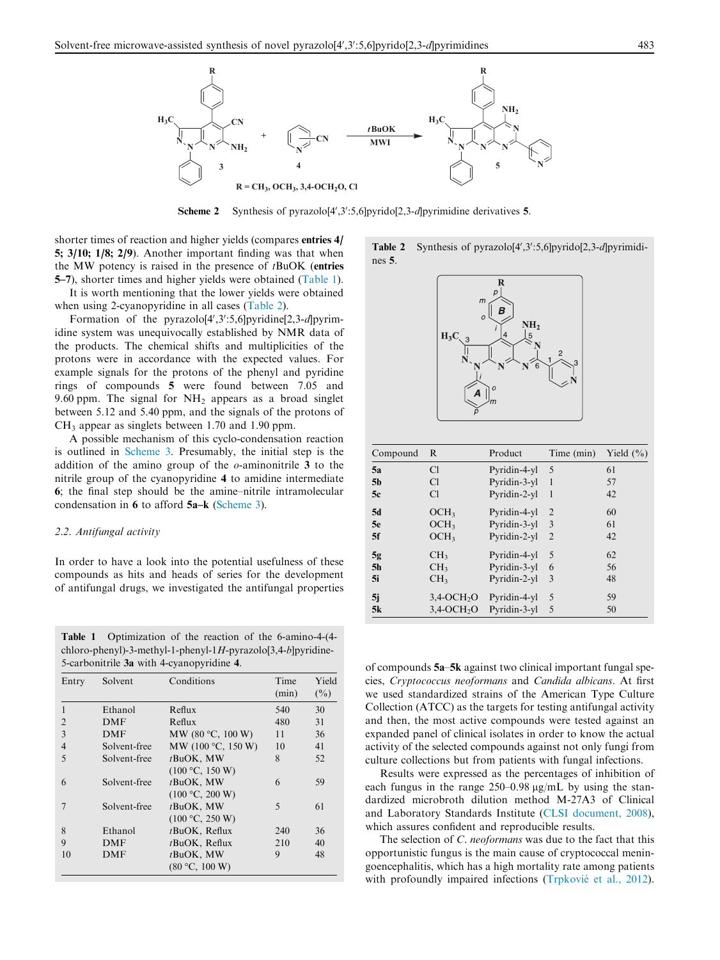<span id="page-2-0"></span>

Scheme 2 Synthesis of pyrazolo $[4', 3' : 5, 6]$ pyrido $[2, 3-d]$ pyrimidine derivatives 5.

shorter times of reaction and higher yields (compares entries 4/ 5; 3/10; 1/8; 2/9). Another important finding was that when the MW potency is raised in the presence of  $t$ BuOK (entries 5–7), shorter times and higher yields were obtained (Table 1).

It is worth mentioning that the lower yields were obtained when using 2-cyanopyridine in all cases (Table 2).

Formation of the pyrazolo[4',3':5,6]pyridine[2,3-d]pyrimidine system was unequivocally established by NMR data of the products. The chemical shifts and multiplicities of the protons were in accordance with the expected values. For example signals for the protons of the phenyl and pyridine rings of compounds 5 were found between 7.05 and 9.60 ppm. The signal for  $NH_2$  appears as a broad singlet between 5.12 and 5.40 ppm, and the signals of the protons of  $CH<sub>3</sub>$  appear as singlets between 1.70 and 1.90 ppm.

A possible mechanism of this cyclo-condensation reaction is outlined in [Scheme 3](#page-3-0). Presumably, the initial step is the addition of the amino group of the  $o$ -aminonitrile 3 to the nitrile group of the cyanopyridine 4 to amidine intermediate 6; the final step should be the amine–nitrile intramolecular condensation in 6 to afford 5a–k [\(Scheme 3\)](#page-3-0).

#### 2.2. Antifungal activity

In order to have a look into the potential usefulness of these compounds as hits and heads of series for the development of antifungal drugs, we investigated the antifungal properties

Table 1 Optimization of the reaction of the 6-amino-4-(4 chloro-phenyl)-3-methyl-1-phenyl-1H-pyrazolo[3,4-b]pyridine-5-carbonitrile 3a with 4-cyanopyridine 4.

| Entry          | Solvent      | Conditions                      | Time<br>(min)            | Yield<br>$(\%)$ |
|----------------|--------------|---------------------------------|--------------------------|-----------------|
| 1              | Ethanol      | Reflux                          | 540                      | 30              |
| $\mathfrak{D}$ | <b>DMF</b>   | Reflux                          | 480                      | 31              |
| $\mathcal{E}$  | <b>DMF</b>   | MW $(80 °C, 100 W)$             | 11                       | 36              |
| $\overline{4}$ | Solvent-free | MW (100 $\degree$ C, 150 W)     | 10                       | 41              |
| 5              | Solvent-free | $t$ BuOK, MW<br>(100 °C, 150 W) | 8                        | 52              |
| 6              | Solvent-free | $t$ BuOK, MW<br>(100 °C, 200 W) | 6                        | 59              |
|                | Solvent-free | $t$ BuOK, MW<br>(100 °C, 250 W) | $\overline{\phantom{0}}$ | 61              |
| 8              | Ethanol      | tBuOK, Reflux                   | 240                      | 36              |
| 9              | <b>DMF</b>   | $t$ BuOK, Reflux                | 210                      | 40              |
| 10             | <b>DMF</b>   | tBuOK, MW<br>(80 °C, 100 W)     | 9                        | 48              |

Table 2 Synthesis of pyrazolo[4',3':5,6]pyrido[2,3-d]pyrimidines 5.



| Compound       | R                         | Product      | Time (min)     | Yield $(\% )$ |
|----------------|---------------------------|--------------|----------------|---------------|
| 5a             | C1                        | Pyridin-4-yl | 5              | 61            |
| 5b             | C1                        | Pyridin-3-yl | -1             | 57            |
| 5c             | C1                        | Pyridin-2-yl | -1             | 42            |
| 5d             | OCH <sub>3</sub>          | Pyridin-4-yl | $\overline{2}$ | 60            |
| 5e             | OCH <sub>3</sub>          | Pyridin-3-yl | 3              | 61            |
| 5f             | OCH <sub>3</sub>          | Pyridin-2-yl | $\overline{2}$ | 42            |
| 5g             | CH <sub>3</sub>           | Pyridin-4-yl | 5              | 62            |
| 5 <sub>h</sub> | CH <sub>3</sub>           | Pyridin-3-yl | 6              | 56            |
| 5i             | CH <sub>3</sub>           | Pyridin-2-yl | 3              | 48            |
| 5i             | $3,4$ -OCH <sub>2</sub> O | Pyridin-4-yl | 5              | 59            |
| 5k             | $3.4-OCH2O$               | Pyridin-3-yl | 5              | 50            |

of compounds 5a–5k against two clinical important fungal species, Cryptococcus neoformans and Candida albicans. At first we used standardized strains of the American Type Culture Collection (ATCC) as the targets for testing antifungal activity and then, the most active compounds were tested against an expanded panel of clinical isolates in order to know the actual activity of the selected compounds against not only fungi from culture collections but from patients with fungal infections.

Results were expressed as the percentages of inhibition of each fungus in the range  $250-0.98 \mu g/mL$  by using the standardized microbroth dilution method M-27A3 of Clinical and Laboratory Standards Institute ([CLSI document, 2008](#page-10-0)), which assures confident and reproducible results.

The selection of C. neoformans was due to the fact that this opportunistic fungus is the main cause of cryptococcal meningoencephalitis, which has a high mortality rate among patients with profoundly impaired infections (Trpkovié [et al., 2012](#page-11-0)).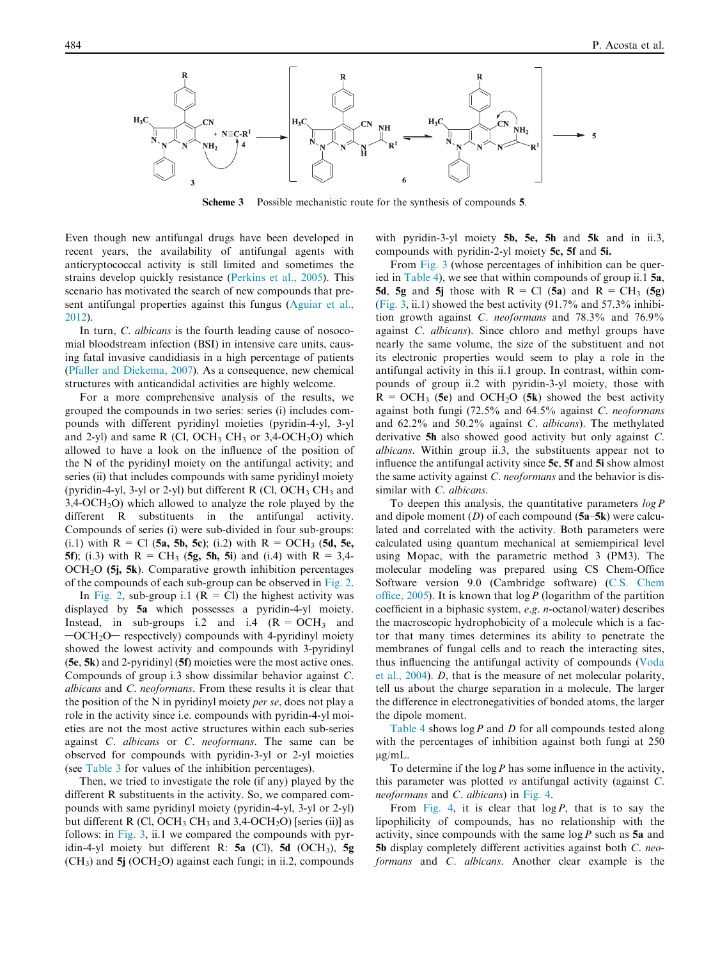<span id="page-3-0"></span>

Scheme 3 Possible mechanistic route for the synthesis of compounds 5.

Even though new antifungal drugs have been developed in recent years, the availability of antifungal agents with anticryptococcal activity is still limited and sometimes the strains develop quickly resistance [\(Perkins et al., 2005](#page-11-0)). This scenario has motivated the search of new compounds that present antifungal properties against this fungus ([Aguiar et al.,](#page-10-0) [2012\)](#page-10-0).

In turn, C. albicans is the fourth leading cause of nosocomial bloodstream infection (BSI) in intensive care units, causing fatal invasive candidiasis in a high percentage of patients ([Pfaller and Diekema, 2007\)](#page-11-0). As a consequence, new chemical structures with anticandidal activities are highly welcome.

For a more comprehensive analysis of the results, we grouped the compounds in two series: series (i) includes compounds with different pyridinyl moieties (pyridin-4-yl, 3-yl and 2-yl) and same R (Cl, OCH<sub>3</sub> CH<sub>3</sub> or 3,4-OCH<sub>2</sub>O) which allowed to have a look on the influence of the position of the N of the pyridinyl moiety on the antifungal activity; and series (ii) that includes compounds with same pyridinyl moiety (pyridin-4-yl, 3-yl or 2-yl) but different R (Cl, OCH<sub>3</sub> CH<sub>3</sub> and  $3,4$ -OCH<sub>2</sub>O) which allowed to analyze the role played by the different R substituents in the antifungal activity. Compounds of series (i) were sub-divided in four sub-groups: (i.1) with  $R = Cl$  (5a, 5b, 5c); (i.2) with  $R = OCH_3$  (5d, 5e, 5f); (i.3) with  $R = CH_3$  (5g, 5h, 5i) and (i.4) with  $R = 3,4$ -OCH<sub>2</sub>O (5*j*, 5*k*). Comparative growth inhibition percentages of the compounds of each sub-group can be observed in [Fig. 2](#page-4-0).

In [Fig. 2,](#page-4-0) sub-group i.1 ( $R = Cl$ ) the highest activity was displayed by 5a which possesses a pyridin-4-yl moiety. Instead, in sub-groups i.2 and i.4  $(R = OCH_3$  and  $-OCH<sub>2</sub>O$  respectively) compounds with 4-pyridinyl moiety showed the lowest activity and compounds with 3-pyridinyl (5e, 5k) and 2-pyridinyl (5f) moieties were the most active ones. Compounds of group i.3 show dissimilar behavior against C. albicans and C. neoformans. From these results it is clear that the position of the N in pyridinyl moiety per se, does not play a role in the activity since i.e. compounds with pyridin-4-yl moieties are not the most active structures within each sub-series against C. albicans or C. neoformans. The same can be observed for compounds with pyridin-3-yl or 2-yl moieties (see [Table 3](#page-5-0) for values of the inhibition percentages).

Then, we tried to investigate the role (if any) played by the different R substituents in the activity. So, we compared compounds with same pyridinyl moiety (pyridin-4-yl, 3-yl or 2-yl) but different R  $(Cl, OCH_3 CH_3$  and 3,4-OCH<sub>2</sub>O) [series (ii)] as follows: in [Fig. 3](#page-6-0), ii.1 we compared the compounds with pyridin-4-yl moiety but different R:  $5a$  (Cl),  $5d$  (OCH<sub>3</sub>),  $5g$  $(CH<sub>3</sub>)$  and 5j (OCH<sub>2</sub>O) against each fungi; in ii.2, compounds with pyridin-3-yl moiety 5b, 5e, 5h and 5k and in ii.3, compounds with pyridin-2-yl moiety 5c, 5f and 5i.

From [Fig. 3](#page-6-0) (whose percentages of inhibition can be queried in [Table 4](#page-7-0)), we see that within compounds of group ii.1 5a, 5d, 5g and 5j those with  $R = Cl$  (5a) and  $R = CH_3$  (5g) ([Fig. 3,](#page-6-0) ii.1) showed the best activity (91.7% and 57.3% inhibition growth against C. neoformans and 78.3% and 76.9% against C. albicans). Since chloro and methyl groups have nearly the same volume, the size of the substituent and not its electronic properties would seem to play a role in the antifungal activity in this ii.1 group. In contrast, within compounds of group ii.2 with pyridin-3-yl moiety, those with  $R = OCH_3$  (5e) and OCH<sub>2</sub>O (5k) showed the best activity against both fungi (72.5% and 64.5% against C. neoformans and 62.2% and 50.2% against C. albicans). The methylated derivative 5h also showed good activity but only against C. albicans. Within group ii.3, the substituents appear not to influence the antifungal activity since 5c, 5f and 5i show almost the same activity against C. neoformans and the behavior is dissimilar with C. albicans.

To deepen this analysis, the quantitative parameters  $log P$ and dipole moment  $(D)$  of each compound  $(5a-5k)$  were calculated and correlated with the activity. Both parameters were calculated using quantum mechanical at semiempirical level using Mopac, with the parametric method 3 (PM3). The molecular modeling was prepared using CS Chem-Office Software version 9.0 (Cambridge software) ([C.S. Chem](#page-10-0) [office, 2005\)](#page-10-0). It is known that  $\log P$  (logarithm of the partition coefficient in a biphasic system, e.g. n-octanol/water) describes the macroscopic hydrophobicity of a molecule which is a factor that many times determines its ability to penetrate the membranes of fungal cells and to reach the interacting sites, thus influencing the antifungal activity of compounds [\(Voda](#page-11-0) [et al., 2004](#page-11-0)). D, that is the measure of net molecular polarity, tell us about the charge separation in a molecule. The larger the difference in electronegativities of bonded atoms, the larger the dipole moment.

[Table 4](#page-7-0) shows  $\log P$  and D for all compounds tested along with the percentages of inhibition against both fungi at 250  $\mu$ g/mL.

To determine if the  $\log P$  has some influence in the activity, this parameter was plotted vs antifungal activity (against C. neoformans and C. albicans) in [Fig. 4](#page-7-0).

From [Fig. 4,](#page-7-0) it is clear that  $log P$ , that is to say the lipophilicity of compounds, has no relationship with the activity, since compounds with the same  $\log P$  such as 5a and 5b display completely different activities against both C. neoformans and C. albicans. Another clear example is the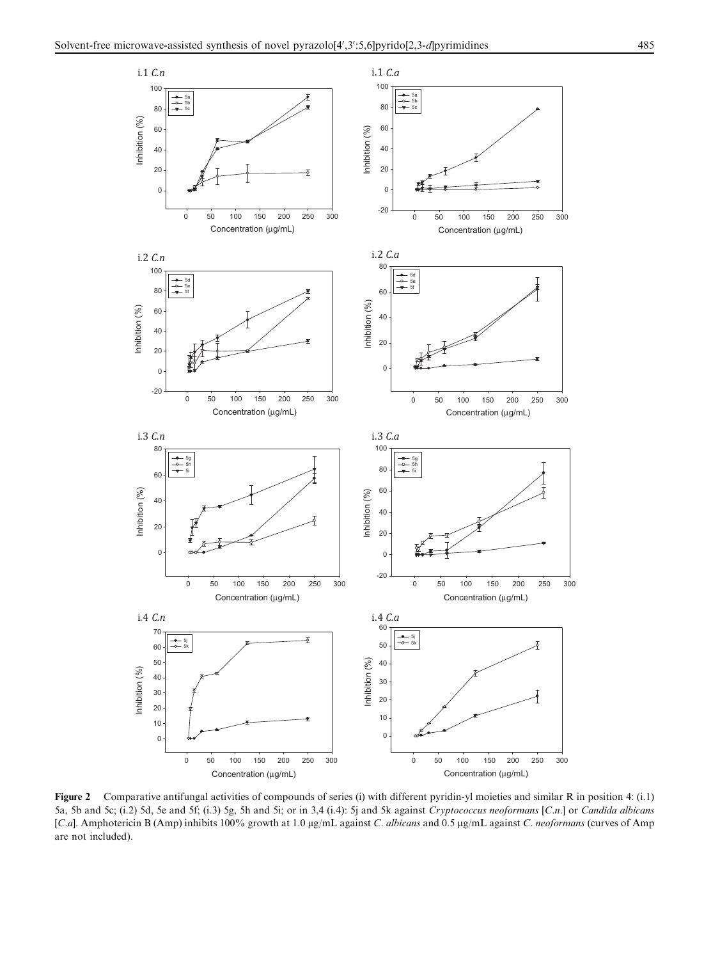<span id="page-4-0"></span>

Figure 2 Comparative antifungal activities of compounds of series (i) with different pyridin-yl moieties and similar R in position 4: (i.1) 5a, 5b and 5c; (i.2) 5d, 5e and 5f; (i.3) 5g, 5h and 5i; or in 3,4 (i.4): 5j and 5k against Cryptococcus neoformans [C.n.] or Candida albicans [C.a]. Amphotericin B (Amp) inhibits 100% growth at 1.0 µg/mL against C. albicans and 0.5 µg/mL against C. neoformans (curves of Amp are not included).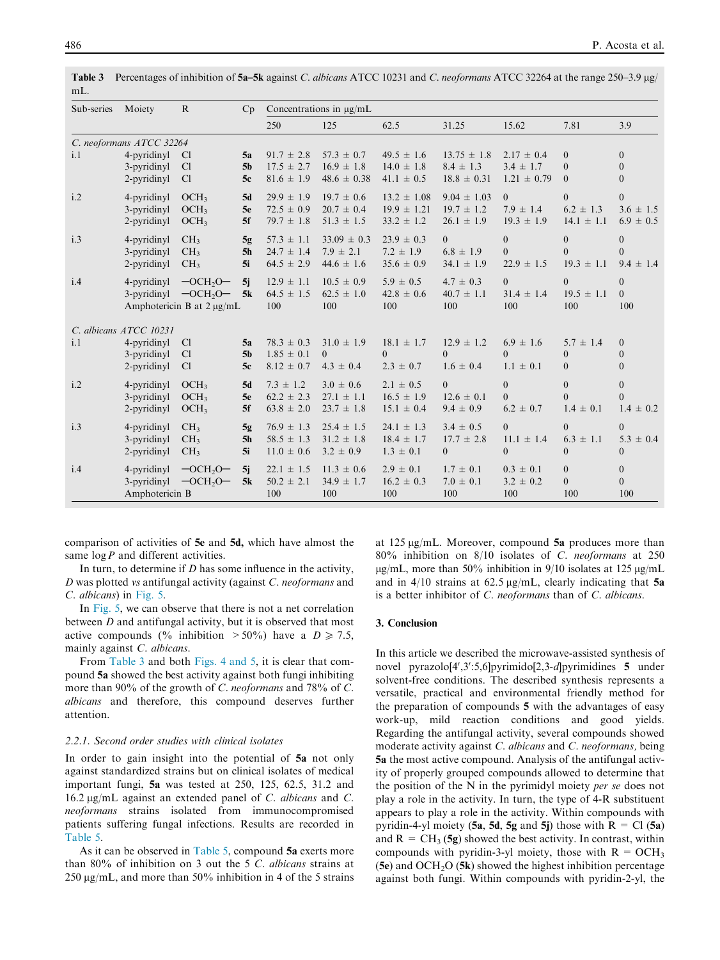| Sub-series | Moiety                                       | $\mathbf{R}$                                                                          | Cp             | Concentrations in µg/mL                 |                                         |                                        |                                        |                                         |                                         |                                       |
|------------|----------------------------------------------|---------------------------------------------------------------------------------------|----------------|-----------------------------------------|-----------------------------------------|----------------------------------------|----------------------------------------|-----------------------------------------|-----------------------------------------|---------------------------------------|
|            |                                              |                                                                                       |                | 250                                     | 125                                     | 62.5                                   | 31.25                                  | 15.62                                   | 7.81                                    | 3.9                                   |
|            | C. neoformans ATCC 32264                     |                                                                                       |                |                                         |                                         |                                        |                                        |                                         |                                         |                                       |
| i.1        | 4-pyridinyl                                  | C <sub>1</sub>                                                                        | 5a             | $91.7 \pm 2.8$                          | $57.3 \pm 0.7$                          | $49.5 \pm 1.6$                         | $13.75 \pm 1.8$                        | $2.17 \pm 0.4$                          | $\overline{0}$                          | $\theta$                              |
|            | 3-pyridinyl                                  | Cl                                                                                    | 5 <sub>b</sub> | $17.5 \pm 2.7$                          | $16.9 \pm 1.8$                          | $14.0 \pm 1.8$                         | $8.4 \pm 1.3$                          | $3.4 \pm 1.7$                           | $\overline{0}$                          | $\Omega$                              |
|            | 2-pyridinyl                                  | C <sub>1</sub>                                                                        | 5c             | $81.6 \pm 1.9$                          | $48.6 \pm 0.38$                         | $41.1 \pm 0.5$                         | $18.8 \pm 0.31$                        | $1.21 \pm 0.79$                         | $\theta$                                | $\mathbf{0}$                          |
| i.2        | 4-pyridinyl                                  | OCH <sub>3</sub>                                                                      | 5d             | $29.9 \pm 1.9$                          | $19.7 \pm 0.6$                          | $13.2 \pm 1.08$                        | $9.04 \pm 1.03$                        | $\overline{0}$                          | $\overline{0}$                          | $\boldsymbol{0}$                      |
|            | 3-pyridinyl                                  | OCH <sub>3</sub>                                                                      | 5e             | $72.5 \pm 0.9$                          | $20.7 \pm 0.4$                          | $19.9 \pm 1.21$                        | $19.7 \pm 1.2$                         | $7.9 \pm 1.4$                           | $6.2 \pm 1.3$                           | $3.6 \pm 1.5$                         |
|            | 2-pyridinyl                                  | OCH <sub>3</sub>                                                                      | 5f             | $79.7 \pm 1.8$                          | $51.3 \pm 1.5$                          | $33.2 \pm 1.2$                         | $26.1 \pm 1.9$                         | $19.3 \pm 1.9$                          | $14.1 \pm 1.1$                          | $6.9 \pm 0.5$                         |
| i.3        | 4-pyridinyl                                  | CH <sub>3</sub>                                                                       | 5g             | $57.3 \pm 1.1$                          | $33.09 \pm 0.3$                         | $23.9 \pm 0.3$                         | $\overline{0}$                         | $\overline{0}$                          | $\mathbf{0}$                            | $\boldsymbol{0}$                      |
|            | 3-pyridinyl                                  | CH <sub>3</sub>                                                                       | 5 <sub>h</sub> | $24.7 \pm 1.4$                          | $7.9 \pm 2.1$                           | $7.2 \pm 1.9$                          | $6.8 \pm 1.9$                          | $\Omega$                                | $\theta$                                | $\boldsymbol{0}$                      |
|            | 2-pyridinyl                                  | CH <sub>3</sub>                                                                       | 5i             | $64.5 \pm 2.9$                          | $44.6 \pm 1.6$                          | $35.6 \pm 0.9$                         | $34.1 \pm 1.9$                         | $22.9 \pm 1.5$                          | $19.3 \pm 1.1$                          | $9.4 \pm 1.4$                         |
| i.4        |                                              | 4-pyridinyl $-OCH2O-$<br>3-pyridinyl $- OCH2O - 5k$<br>Amphotericin B at $2 \mu g/mL$ | 5j             | $12.9 \pm 1.1$<br>$64.5 \pm 1.5$<br>100 | $10.5 \pm 0.9$<br>$62.5 \pm 1.0$<br>100 | $5.9 \pm 0.5$<br>$42.8 \pm 0.6$<br>100 | $4.7 \pm 0.3$<br>$40.7 \pm 1.1$<br>100 | $\overline{0}$<br>$31.4 \pm 1.4$<br>100 | $\overline{0}$<br>$19.5 \pm 1.1$<br>100 | $\mathbf{0}$<br>$\overline{0}$<br>100 |
|            | C. albicans ATCC 10231                       |                                                                                       |                |                                         |                                         |                                        |                                        |                                         |                                         |                                       |
| i.1        | 4-pyridinyl                                  | Cl                                                                                    | 5a             | $78.3 \pm 0.3$                          | $31.0 \pm 1.9$                          | $18.1 \pm 1.7$                         | $12.9 \pm 1.2$                         | $6.9 \pm 1.6$                           | $5.7 \pm 1.4$                           | $\overline{0}$                        |
|            | 3-pyridinyl                                  | Cl                                                                                    | 5 <sub>b</sub> | $1.85 \pm 0.1$                          | $\overline{0}$                          | $\Omega$                               | $\theta$                               | $\Omega$                                | $\mathbf{0}$                            | $\boldsymbol{0}$                      |
|            | 2-pyridinyl                                  | C <sub>1</sub>                                                                        | 5c             | $8.12 \pm 0.7$                          | $4.3 \pm 0.4$                           | $2.3 \pm 0.7$                          | $1.6 \pm 0.4$                          | $1.1 \pm 0.1$                           | $\mathbf{0}$                            | $\mathbf{0}$                          |
| i.2        | 4-pyridinyl                                  | OCH <sub>3</sub>                                                                      | 5d             | $7.3 \pm 1.2$                           | $3.0 \pm 0.6$                           | $2.1 \pm 0.5$                          | $\overline{0}$                         | $\Omega$                                | $\mathbf{0}$                            | $\boldsymbol{0}$                      |
|            | 3-pyridinyl                                  | OCH <sub>3</sub>                                                                      | 5e             | $62.2 \pm 2.3$                          | $27.1 \pm 1.1$                          | $16.5 \pm 1.9$                         | $12.6 \pm 0.1$                         | $\Omega$                                | $\theta$                                | $\overline{0}$                        |
|            | 2-pyridinyl                                  | OCH <sub>3</sub>                                                                      | 5f             | $63.8 \pm 2.0$                          | $23.7 \pm 1.8$                          | $15.1 \pm 0.4$                         | $9.4 \pm 0.9$                          | $6.2 \pm 0.7$                           | $1.4 \pm 0.1$                           | $1.4 \pm 0.2$                         |
| i.3        | 4-pyridinyl                                  | CH <sub>3</sub>                                                                       | 5g             | $76.9 \pm 1.3$                          | $25.4 \pm 1.5$                          | $24.1 \pm 1.3$                         | $3.4 \pm 0.5$                          | $\theta$                                | $\Omega$                                | $\overline{0}$                        |
|            | 3-pyridinyl                                  | CH <sub>3</sub>                                                                       | 5 <sub>h</sub> | $58.5 \pm 1.3$                          | $31.2 \pm 1.8$                          | $18.4 \pm 1.7$                         | $17.7 \pm 2.8$                         | $11.1 \pm 1.4$                          | $6.3 \pm 1.1$                           | $5.3 \pm 0.4$                         |
|            | 2-pyridinyl                                  | CH <sub>3</sub>                                                                       | 5i             | $11.0 \pm 0.6$                          | $3.2 \pm 0.9$                           | $1.3 \pm 0.1$                          | $\overline{0}$                         | $\overline{0}$                          | $\theta$                                | $\mathbf{0}$                          |
| i.4        | 4-pyridinyl<br>3-pyridinyl<br>Amphotericin B | $-OCH2O-$<br>$-OCH2O-$                                                                | 5j<br>5k       | $22.1 \pm 1.5$<br>$50.2 \pm 2.1$<br>100 | $11.3 \pm 0.6$<br>$34.9 \pm 1.7$<br>100 | $2.9 \pm 0.1$<br>$16.2 \pm 0.3$<br>100 | $1.7 \pm 0.1$<br>$7.0 \pm 0.1$<br>100  | $0.3 \pm 0.1$<br>$3.2 \pm 0.2$<br>100   | $\overline{0}$<br>$\overline{0}$<br>100 | $\mathbf{0}$<br>$\overline{0}$<br>100 |

<span id="page-5-0"></span>Table 3 Percentages of inhibition of 5a–5k against C. albicans ATCC 10231 and C. neoformans ATCC 32264 at the range 250–3.9 ug/ m<sub>I</sub>

comparison of activities of 5e and 5d, which have almost the same  $\log P$  and different activities.

In turn, to determine if  $D$  has some influence in the activity, D was plotted vs antifungal activity (against C. neoformans and C. albicans) in [Fig. 5.](#page-8-0)

In [Fig. 5](#page-8-0), we can observe that there is not a net correlation between D and antifungal activity, but it is observed that most active compounds (% inhibition  $>50\%$ ) have a  $D \ge 7.5$ , mainly against C. albicans.

From Table 3 and both [Figs. 4 and 5,](#page-7-0) it is clear that compound 5a showed the best activity against both fungi inhibiting more than 90% of the growth of C. neoformans and 78% of C. albicans and therefore, this compound deserves further attention.

#### 2.2.1. Second order studies with clinical isolates

In order to gain insight into the potential of 5a not only against standardized strains but on clinical isolates of medical important fungi, 5a was tested at 250, 125, 62.5, 31.2 and 16.2 lg/mL against an extended panel of C. albicans and C. neoformans strains isolated from immunocompromised patients suffering fungal infections. Results are recorded in [Table 5.](#page-8-0)

As it can be observed in [Table 5,](#page-8-0) compound 5a exerts more than 80% of inhibition on 3 out the 5 C. albicans strains at 250  $\mu$ g/mL, and more than 50% inhibition in 4 of the 5 strains

at  $125 \mu g/mL$ . Moreover, compound 5a produces more than 80% inhibition on 8/10 isolates of C. neoformans at 250  $\mu$ g/mL, more than 50% inhibition in 9/10 isolates at 125  $\mu$ g/mL and in  $4/10$  strains at 62.5  $\mu$ g/mL, clearly indicating that 5a is a better inhibitor of C. neoformans than of C. albicans.

#### 3. Conclusion

In this article we described the microwave-assisted synthesis of novel pyrazolo[4',3':5,6]pyrimido[2,3-d]pyrimidines 5 under solvent-free conditions. The described synthesis represents a versatile, practical and environmental friendly method for the preparation of compounds 5 with the advantages of easy work-up, mild reaction conditions and good yields. Regarding the antifungal activity, several compounds showed moderate activity against C. albicans and C. neoformans, being 5a the most active compound. Analysis of the antifungal activity of properly grouped compounds allowed to determine that the position of the N in the pyrimidyl moiety per se does not play a role in the activity. In turn, the type of 4-R substituent appears to play a role in the activity. Within compounds with pyridin-4-yl moiety (5a, 5d, 5g and 5j) those with  $R = Cl(5a)$ and  $R = CH_3 (5g)$  showed the best activity. In contrast, within compounds with pyridin-3-yl moiety, those with  $R = OCH_3$ (5e) and  $OCH<sub>2</sub>O$  (5k) showed the highest inhibition percentage against both fungi. Within compounds with pyridin-2-yl, the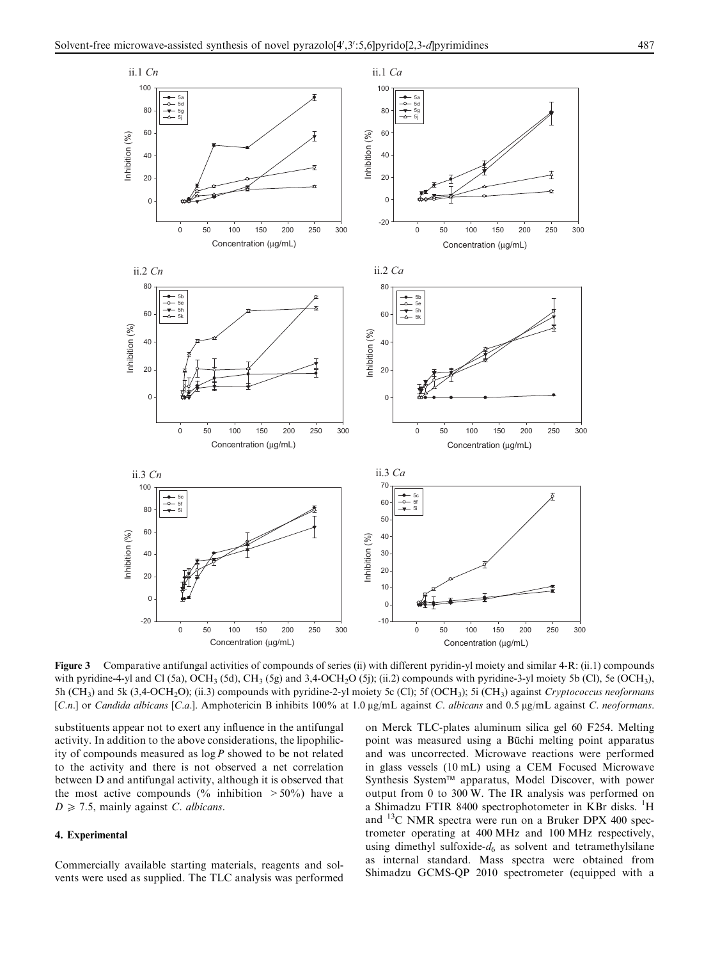<span id="page-6-0"></span>

Figure 3 Comparative antifungal activities of compounds of series (ii) with different pyridin-yl moiety and similar 4-R: (ii.1) compounds with pyridine-4-yl and Cl (5a), OCH<sub>3</sub> (5d), CH<sub>3</sub> (5g) and 3,4-OCH<sub>2</sub>O (5j); (ii.2) compounds with pyridine-3-yl moiety 5b (Cl), 5e (OCH<sub>3</sub>), 5h (CH<sub>3</sub>) and 5k (3,4-OCH<sub>2</sub>O); (ii.3) compounds with pyridine-2-yl moiety 5c (Cl); 5f (OCH<sub>3</sub>); 5i (CH<sub>3</sub>) against *Cryptococcus neoformans* [C.n.] or Candida albicans [C.a.]. Amphotericin B inhibits 100% at 1.0  $\mu$ g/mL against C. albicans and 0.5  $\mu$ g/mL against C. neoformans.

substituents appear not to exert any influence in the antifungal activity. In addition to the above considerations, the lipophilicity of compounds measured as  $\log P$  showed to be not related to the activity and there is not observed a net correlation between D and antifungal activity, although it is observed that the most active compounds (% inhibition  $>50\%$ ) have a  $D \geq 7.5$ , mainly against C. albicans.

#### 4. Experimental

Commercially available starting materials, reagents and solvents were used as supplied. The TLC analysis was performed on Merck TLC-plates aluminum silica gel 60 F254. Melting point was measured using a Büchi melting point apparatus and was uncorrected. Microwave reactions were performed in glass vessels (10 mL) using a CEM Focused Microwave Synthesis System™ apparatus, Model Discover, with power output from 0 to 300 W. The IR analysis was performed on a Shimadzu FTIR 8400 spectrophotometer in KBr disks. <sup>1</sup>H and 13C NMR spectra were run on a Bruker DPX 400 spectrometer operating at 400 MHz and 100 MHz respectively, using dimethyl sulfoxide- $d_6$  as solvent and tetramethylsilane as internal standard. Mass spectra were obtained from Shimadzu GCMS-QP 2010 spectrometer (equipped with a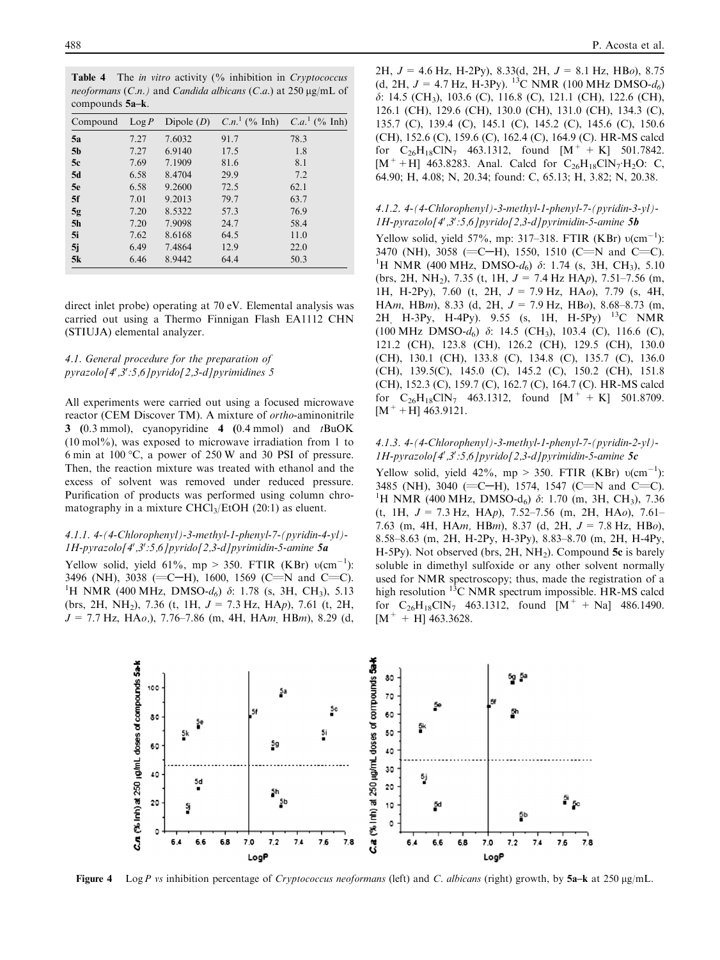<span id="page-7-0"></span>Table 4 The *in vitro* activity (% inhibition in *Cryptococcus* neoformans  $(C.n.)$  and *Candida albicans*  $(C.a.)$  at 250  $\mu$ g/mL of compounds 5a–k.

| Compound       | $\text{Log } P$ | Dipole $(D)$ | $C.n.^1$ (% Inh) | $C.a.^1$ (% Inh) |
|----------------|-----------------|--------------|------------------|------------------|
| 5a             | 7.27            | 7.6032       | 91.7             | 78.3             |
| 5 <sub>b</sub> | 7.27            | 6.9140       | 17.5             | 1.8              |
| 5c             | 7.69            | 7.1909       | 81.6             | 8.1              |
| 5d             | 6.58            | 8.4704       | 29.9             | 7.2              |
| 5e             | 6.58            | 9.2600       | 72.5             | 62.1             |
| 5f             | 7.01            | 9.2013       | 79.7             | 63.7             |
| 5g             | 7.20            | 8.5322       | 57.3             | 76.9             |
| 5 <sub>h</sub> | 7.20            | 7.9098       | 24.7             | 58.4             |
| 5i             | 7.62            | 8.6168       | 64.5             | 11.0             |
| 5j             | 6.49            | 7.4864       | 12.9             | 22.0             |
| 5k             | 6.46            | 8.9442       | 64.4             | 50.3             |

direct inlet probe) operating at 70 eV. Elemental analysis was carried out using a Thermo Finnigan Flash EA1112 CHN (STIUJA) elemental analyzer.

# 4.1. General procedure for the preparation of pyrazolo[4',3':5,6]pyrido[2,3-d]pyrimidines 5

All experiments were carried out using a focused microwave reactor (CEM Discover TM). A mixture of ortho-aminonitrile 3 (0.3 mmol), cyanopyridine  $4$  (0.4 mmol) and  $t$ BuOK  $(10 \text{ mol\%})$ , was exposed to microwave irradiation from 1 to 6 min at 100  $\degree$ C, a power of 250 W and 30 PSI of pressure. Then, the reaction mixture was treated with ethanol and the excess of solvent was removed under reduced pressure. Purification of products was performed using column chromatography in a mixture  $CHCl<sub>3</sub>/EtOH$  (20:1) as eluent.

#### 4.1.1. 4-(4-Chlorophenyl)-3-methyl-1-phenyl-7-(pyridin-4-yl)- 1H-pyrazolo[4',3':5,6]pyrido[2,3-d]pyrimidin-5-amine 5a

Yellow solid, yield 61%, mp > 350. FTIR (KBr)  $v(cm^{-1})$ : 3496 (NH), 3038 (=C-H), 1600, 1569 (C=N and C=C). <sup>1</sup>H NMR (400 MHz, DMSO- $d_6$ )  $\delta$ : 1.78 (s, 3H, CH<sub>3</sub>), 5.13 (brs, 2H, NH<sub>2</sub>), 7.36 (t, 1H,  $J = 7.3$  Hz, HAp), 7.61 (t, 2H,  $J = 7.7$  Hz, HAo,), 7.76–7.86 (m, 4H, HAm, HBm), 8.29 (d, 2H,  $J = 4.6$  Hz, H-2Py), 8.33(d, 2H,  $J = 8.1$  Hz, HBo), 8.75 (d, 2H,  $J = 4.7$  Hz, H-3Py). <sup>13</sup>C NMR (100 MHz DMSO- $d_6$ )  $\delta$ : 14.5 (CH<sub>3</sub>), 103.6 (C), 116.8 (C), 121.1 (CH), 122.6 (CH), 126.1 (CH), 129.6 (CH), 130.0 (CH), 131.0 (CH), 134.3 (C), 135.7 (C), 139.4 (C), 145.1 (C), 145.2 (C), 145.6 (C), 150.6 (CH), 152.6 (C), 159.6 (C), 162.4 (C), 164.9 (C). HR-MS calcd for  $C_{26}H_{18}C\text{IN}_7$  463.1312, found  $[M^+ + K]$  501.7842.  $[M^+ + H]$  463.8283. Anal. Calcd for  $C_{26}H_{18}CN_7H_2O$ : C, 64.90; H, 4.08; N, 20.34; found: C, 65.13; H, 3.82; N, 20.38.

### 4.1.2. 4-(4-Chlorophenyl)-3-methyl-1-phenyl-7-(pyridin-3-yl)- 1H-pyrazolo[4',3':5,6]pyrido[2,3-d]pyrimidin-5-amine 5b

Yellow solid, yield 57%, mp: 317-318. FTIR (KBr)  $v(cm^{-1})$ : 3470 (NH), 3058 (=C-H), 1550, 1510 (C=N and C=C). <sup>1</sup>H NMR (400 MHz, DMSO- $d_6$ )  $\delta$ : 1.74 (s, 3H, CH<sub>3</sub>), 5.10 (brs, 2H, NH<sub>2</sub>), 7.35 (t, 1H,  $J = 7.4$  Hz HAp), 7.51–7.56 (m, 1H, H-2Py), 7.60 (t, 2H,  $J = 7.9$  Hz, HAo), 7.79 (s, 4H, HAm, HBm), 8.33 (d, 2H,  $J = 7.9$  Hz, HBo), 8.68–8.73 (m, 2H, H-3Py, H-4Py). 9.55 (s, 1H, H-5Py) 13C NMR (100 MHz DMSO- $d_6$ )  $\delta$ : 14.5 (CH<sub>3</sub>), 103.4 (C), 116.6 (C), 121.2 (CH), 123.8 (CH), 126.2 (CH), 129.5 (CH), 130.0 (CH), 130.1 (CH), 133.8 (C), 134.8 (C), 135.7 (C), 136.0 (CH), 139.5(C), 145.0 (C), 145.2 (C), 150.2 (CH), 151.8 (CH), 152.3 (C), 159.7 (C), 162.7 (C), 164.7 (C). HR-MS calcd for  $C_{26}H_{18}CN_7$  463.1312, found  $[M^+ + K]$  501.8709.  $[M^+ + H]$  463.9121.

# 4.1.3. 4-(4-Chlorophenyl)-3-methyl-1-phenyl-7-(pyridin-2-yl)- 1H-pyrazolo[4',3':5,6]pyrido[2,3-d]pyrimidin-5-amine 5c

Yellow solid, yield 42%, mp > 350. FTIR (KBr)  $v(cm^{-1})$ : 3485 (NH), 3040 (=C-H), 1574, 1547 (C=N and C=C). <sup>1</sup>H NMR (400 MHz, DMSO-d<sub>6</sub>)  $\delta$ : 1.70 (m, 3H, CH<sub>3</sub>), 7.36 (t, 1H,  $J = 7.3$  Hz, HAp), 7.52–7.56 (m, 2H, HAo), 7.61– 7.63 (m, 4H, HAm, HBm), 8.37 (d, 2H,  $J = 7.8$  Hz, HBo), 8.58–8.63 (m, 2H, H-2Py, H-3Py), 8.83–8.70 (m, 2H, H-4Py, H-5Py). Not observed (brs,  $2H$ ,  $NH<sub>2</sub>$ ). Compound 5c is barely soluble in dimethyl sulfoxide or any other solvent normally used for NMR spectroscopy; thus, made the registration of a high resolution  ${}^{13}C$  NMR spectrum impossible. HR-MS calcd for  $C_{26}H_{18}C\text{IN}_7$  463.1312, found  $[M^+ + Na]$  486.1490.  $[M^+ + H]$  463.3628.



Figure 4 Log P vs inhibition percentage of Cryptococcus neoformans (left) and C. albicans (right) growth, by 5a–k at 250  $\mu$ g/mL.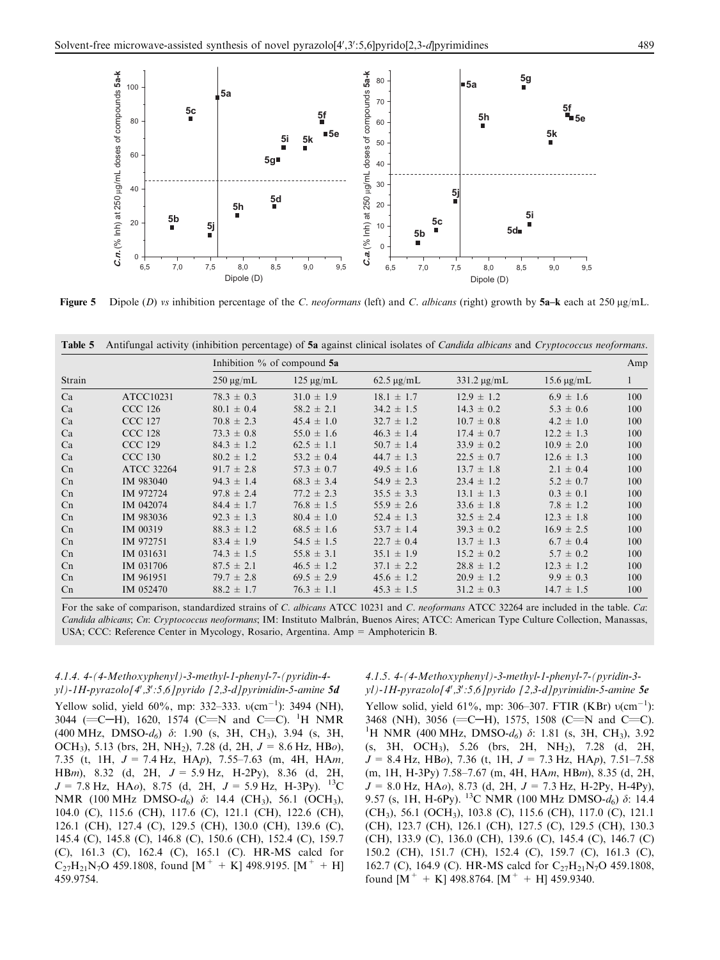<span id="page-8-0"></span>

Figure 5 Dipole (D) vs inhibition percentage of the C. neoformans (left) and C. albicans (right) growth by  $5a-k$  each at 250  $\mu$ g/mL.

Table 5 Antifungal activity (inhibition percentage) of 5a against clinical isolates of Candida albicans and Cryptococcus neoformans.

|                |                   |                | Inhibition % of compound 5a |                 |                  |                              |              |  |  |
|----------------|-------------------|----------------|-----------------------------|-----------------|------------------|------------------------------|--------------|--|--|
| Strain         |                   | $250 \mu g/mL$ | $125 \mu g/mL$              | $62.5 \mu g/mL$ | $331.2 \mu g/mL$ | $15.6 \,\mathrm{\upmu g/mL}$ | $\mathbf{I}$ |  |  |
| Ca             | ATCC10231         | $78.3 \pm 0.3$ | $31.0 \pm 1.9$              | $18.1 \pm 1.7$  | $12.9 \pm 1.2$   | $6.9 \pm 1.6$                | 100          |  |  |
| Ca             | <b>CCC 126</b>    | $80.1 \pm 0.4$ | $58.2 \pm 2.1$              | $34.2 \pm 1.5$  | $14.3 \pm 0.2$   | $5.3 \pm 0.6$                | 100          |  |  |
| Ca             | <b>CCC 127</b>    | $70.8 \pm 2.3$ | $45.4 \pm 1.0$              | $32.7 \pm 1.2$  | $10.7 \pm 0.8$   | $4.2 \pm 1.0$                | 100          |  |  |
| Ca             | <b>CCC 128</b>    | $73.3 \pm 0.8$ | $55.0 \pm 1.6$              | $46.3 \pm 1.4$  | $17.4 \pm 0.7$   | $12.2 \pm 1.3$               | 100          |  |  |
| Ca             | <b>CCC 129</b>    | $84.3 \pm 1.2$ | $62.5 \pm 1.1$              | $50.7 \pm 1.4$  | $33.9 \pm 0.2$   | $10.9 \pm 2.0$               | 100          |  |  |
| Ca             | <b>CCC 130</b>    | $80.2 \pm 1.2$ | $53.2 \pm 0.4$              | $44.7 \pm 1.3$  | $22.5 \pm 0.7$   | $12.6 \pm 1.3$               | 100          |  |  |
| C <sub>n</sub> | <b>ATCC 32264</b> | $91.7 \pm 2.8$ | $57.3 \pm 0.7$              | $49.5 \pm 1.6$  | $13.7 \pm 1.8$   | $2.1 \pm 0.4$                | 100          |  |  |
| Cn             | IM 983040         | $94.3 \pm 1.4$ | $68.3 \pm 3.4$              | $54.9 \pm 2.3$  | $23.4 \pm 1.2$   | $5.2 \pm 0.7$                | 100          |  |  |
| Cn             | IM 972724         | $97.8 \pm 2.4$ | $77.2 \pm 2.3$              | $35.5 \pm 3.3$  | $13.1 \pm 1.3$   | $0.3 \pm 0.1$                | 100          |  |  |
| Cn             | IM 042074         | $84.4 \pm 1.7$ | $76.8 \pm 1.5$              | $55.9 \pm 2.6$  | $33.6 \pm 1.8$   | $7.8 \pm 1.2$                | 100          |  |  |
| C <sub>n</sub> | IM 983036         | $92.3 \pm 1.3$ | $80.4 \pm 1.0$              | $52.4 \pm 1.3$  | $32.5 \pm 2.4$   | $12.3 \pm 1.8$               | 100          |  |  |
| Cn             | IM 00319          | $88.3 \pm 1.2$ | $68.5 \pm 1.6$              | $53.7 \pm 1.4$  | $39.3 \pm 0.2$   | $16.9 \pm 2.5$               | 100          |  |  |
| C <sub>n</sub> | IM 972751         | $83.4 \pm 1.9$ | $54.5 \pm 1.5$              | $22.7 \pm 0.4$  | $13.7 \pm 1.3$   | $6.7 \pm 0.4$                | 100          |  |  |
| Cn             | IM 031631         | $74.3 \pm 1.5$ | $55.8 \pm 3.1$              | $35.1 \pm 1.9$  | $15.2 \pm 0.2$   | $5.7 \pm 0.2$                | 100          |  |  |
| Cn             | IM 031706         | $87.5 \pm 2.1$ | $46.5 \pm 1.2$              | $37.1 \pm 2.2$  | $28.8 \pm 1.2$   | $12.3 \pm 1.2$               | 100          |  |  |
| C <sub>n</sub> | IM 961951         | $79.7 \pm 2.8$ | $69.5 \pm 2.9$              | $45.6 \pm 1.2$  | $20.9 \pm 1.2$   | $9.9 \pm 0.3$                | 100          |  |  |
| Cn             | IM 052470         | $88.2 \pm 1.7$ | $76.3 \pm 1.1$              | $45.3 \pm 1.5$  | $31.2 \pm 0.3$   | $14.7 \pm 1.5$               | 100          |  |  |

For the sake of comparison, standardized strains of C. albicans ATCC 10231 and C. neoformans ATCC 32264 are included in the table. Ca: Candida albicans; Cn: Cryptococcus neoformans; IM: Instituto Malbrán, Buenos Aires; ATCC: American Type Culture Collection, Manassas, USA; CCC: Reference Center in Mycology, Rosario, Argentina. Amp = Amphotericin B.

### 4.1.4. 4-(4-Methoxyphenyl)-3-methyl-1-phenyl-7-(pyridin-4 yl)-1H-pyrazolo[4',3':5,6]pyrido [2,3-d]pyrimidin-5-amine 5d

Yellow solid, yield 60%, mp: 332–333.  $v(cm^{-1})$ : 3494 (NH), 3044 (=C-H), 1620, 1574 (C=N and C=C). <sup>1</sup>H NMR (400 MHz, DMSO- $d_6$ )  $\delta$ : 1.90 (s, 3H, CH<sub>3</sub>), 3.94 (s, 3H, OCH<sub>3</sub>), 5.13 (brs, 2H, NH<sub>2</sub>), 7.28 (d, 2H,  $J = 8.6$  Hz, HBo), 7.35 (t, 1H,  $J = 7.4$  Hz, HAp), 7.55–7.63 (m, 4H, HAm, HBm), 8.32 (d, 2H,  $J = 5.9$  Hz, H-2Py), 8.36 (d, 2H,  $J = 7.8$  Hz, HAo), 8.75 (d, 2H,  $J = 5.9$  Hz, H-3Py). <sup>13</sup>C NMR (100 MHz DMSO- $d_6$ )  $\delta$ : 14.4 (CH<sub>3</sub>), 56.1 (OCH<sub>3</sub>), 104.0 (C), 115.6 (CH), 117.6 (C), 121.1 (CH), 122.6 (CH), 126.1 (CH), 127.4 (C), 129.5 (CH), 130.0 (CH), 139.6 (C), 145.4 (C), 145.8 (C), 146.8 (C), 150.6 (CH), 152.4 (C), 159.7 (C), 161.3 (C), 162.4 (C), 165.1 (C). HR-MS calcd for  $C_{27}H_{21}N_{7}O$  459.1808, found  $[M^{+} + K]$  498.9195.  $[M^{+} + H]$ 459.9754.

# 4.1.5. 4-(4-Methoxyphenyl)-3-methyl-1-phenyl-7-(pyridin-3 yl)-1H-pyrazolo[4',3':5,6]pyrido [2,3-d]pyrimidin-5-amine 5e

Yellow solid, yield 61%, mp: 306-307. FTIR (KBr)  $v(cm^{-1})$ : 3468 (NH), 3056 (=C-H), 1575, 1508 (C=N and C=C). <sup>1</sup>H NMR (400 MHz, DMSO- $d_6$ )  $\delta$ : 1.81 (s, 3H, CH<sub>3</sub>), 3.92 (s, 3H, OCH3), 5.26 (brs, 2H, NH2), 7.28 (d, 2H,  $J = 8.4$  Hz, HBo), 7.36 (t, 1H,  $J = 7.3$  Hz, HAp), 7.51-7.58 (m, 1H, H-3Py) 7.58–7.67 (m, 4H, HAm, HBm), 8.35 (d, 2H,  $J = 8.0$  Hz, HAo), 8.73 (d, 2H,  $J = 7.3$  Hz, H-2Py, H-4Py), 9.57 (s, 1H, H-6Py). <sup>13</sup>C NMR (100 MHz DMSO- $d_6$ )  $\delta$ : 14.4 (CH3), 56.1 (OCH3), 103.8 (C), 115.6 (CH), 117.0 (C), 121.1 (CH), 123.7 (CH), 126.1 (CH), 127.5 (C), 129.5 (CH), 130.3 (CH), 133.9 (C), 136.0 (CH), 139.6 (C), 145.4 (C), 146.7 (C) 150.2 (CH), 151.7 (CH), 152.4 (C), 159.7 (C), 161.3 (C), 162.7 (C), 164.9 (C). HR-MS calcd for  $C_{27}H_{21}N_7O$  459.1808, found  $[M^+ + K]$  498.8764.  $[M^+ + H]$  459.9340.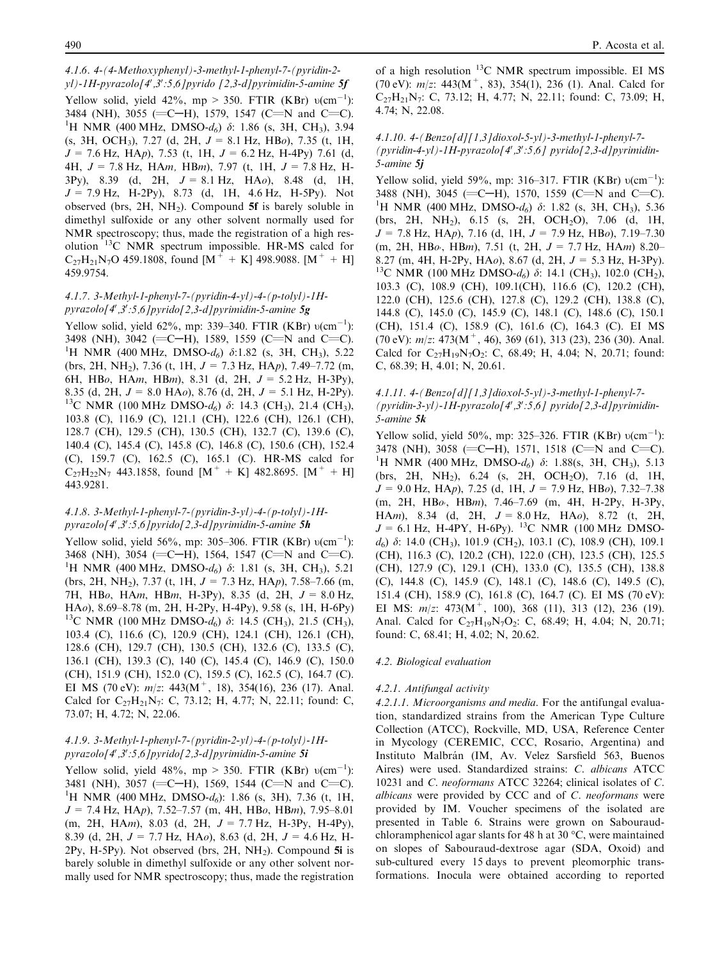4.1.6. 4-(4-Methoxyphenyl)-3-methyl-1-phenyl-7-(pyridin-2 yl)-1H-pyrazolo[4',3':5,6]pyrido [2,3-d]pyrimidin-5-amine 5f Yellow solid, yield 42%, mp > 350. FTIR (KBr)  $v(cm^{-1})$ : 3484 (NH), 3055 (=C-H), 1579, 1547 (C=N and C=C). <sup>1</sup>H NMR (400 MHz, DMSO- $d_6$ )  $\delta$ : 1.86 (s, 3H, CH<sub>3</sub>), 3.94  $(s, 3H, OCH_3)$ , 7.27 (d, 2H,  $J = 8.1$  Hz, HBo), 7.35 (t, 1H,  $J = 7.6$  Hz, HAp), 7.53 (t, 1H,  $J = 6.2$  Hz, H-4Py) 7.61 (d, 4H,  $J = 7.8$  Hz, HAm, HBm), 7.97 (t, 1H,  $J = 7.8$  Hz, H-3Py), 8.39 (d, 2H,  $J = 8.1$  Hz, HAo), 8.48 (d, 1H,  $J = 7.9$  Hz, H-2Py), 8.73 (d, 1H, 4.6 Hz, H-5Py). Not observed (brs,  $2H$ ,  $NH<sub>2</sub>$ ). Compound 5f is barely soluble in dimethyl sulfoxide or any other solvent normally used for NMR spectroscopy; thus, made the registration of a high resolution 13C NMR spectrum impossible. HR-MS calcd for  $C_{27}H_{21}N_{7}O$  459.1808, found  $[M^{+} + K]$  498.9088.  $[M^{+} + H]$ 459.9754.

## 4.1.7. 3-Methyl-1-phenyl-7-(pyridin-4-yl)-4-(p-tolyl)-1Hpyrazolo[4',3':5,6]pyrido[2,3-d]pyrimidin-5-amine  $5g$

Yellow solid, yield 62%, mp: 339–340. FTIR (KBr)  $v(cm^{-1})$ : 3498 (NH), 3042 (=C-H), 1589, 1559 (C=N and C=C). <sup>1</sup>H NMR (400 MHz, DMSO- $d_6$ )  $\delta$ :1.82 (s, 3H, CH<sub>3</sub>), 5.22 (brs, 2H, NH<sub>2</sub>), 7.36 (t, 1H,  $J = 7.3$  Hz, HAp), 7.49–7.72 (m, 6H, HBo, HAm, HBm), 8.31 (d, 2H,  $J = 5.2$  Hz, H-3Py), 8.35 (d, 2H,  $J = 8.0$  HA*o*), 8.76 (d, 2H,  $J = 5.1$  Hz, H-2Py).<br><sup>13</sup>C NMR (100 MHz DMSO-d<sub>6</sub>)  $\delta$ : 14.3 (CH<sub>3</sub>), 21.4 (CH<sub>3</sub>), 103.8 (C), 116.9 (C), 121.1 (CH), 122.6 (CH), 126.1 (CH), 128.7 (CH), 129.5 (CH), 130.5 (CH), 132.7 (C), 139.6 (C), 140.4 (C), 145.4 (C), 145.8 (C), 146.8 (C), 150.6 (CH), 152.4 (C), 159.7 (C), 162.5 (C), 165.1 (C). HR-MS calcd for  $C_{27}H_{22}N_7$  443.1858, found  $[M^+ + K]$  482.8695.  $[M^+ + H]$ 443.9281.

### 4.1.8. 3-Methyl-1-phenyl-7-(pyridin-3-yl)-4-(p-tolyl)-1Hpyrazolo[4',3':5,6]pyrido[2,3-d]pyrimidin-5-amine 5h

Yellow solid, yield 56%, mp: 305–306. FTIR (KBr)  $v(cm^{-1})$ : 3468 (NH), 3054 (=C-H), 1564, 1547 (C=N and C=C). <sup>1</sup>H NMR (400 MHz, DMSO- $d_6$ )  $\delta$ : 1.81 (s, 3H, CH<sub>3</sub>), 5.21 (brs, 2H, NH<sub>2</sub>), 7.37 (t, 1H,  $J = 7.3$  Hz, HAp), 7.58–7.66 (m, 7H, HBo, HAm, HBm, H-3Py), 8.35 (d, 2H,  $J = 8.0$  Hz, HAo), 8.69–8.78 (m, 2H, H-2Py, H-4Py), 9.58 (s, 1H, H-6Py) <sup>13</sup>C NMR (100 MHz DMSO-d<sub>6</sub>)  $\delta$ : 14.5 (CH<sub>3</sub>), 21.5 (CH<sub>3</sub>), 103.4 (C), 116.6 (C), 120.9 (CH), 124.1 (CH), 126.1 (CH), 128.6 (CH), 129.7 (CH), 130.5 (CH), 132.6 (C), 133.5 (C), 136.1 (CH), 139.3 (C), 140 (C), 145.4 (C), 146.9 (C), 150.0 (CH), 151.9 (CH), 152.0 (C), 159.5 (C), 162.5 (C), 164.7 (C). EI MS (70 eV):  $m/z$ : 443(M<sup>+</sup>, 18), 354(16), 236 (17). Anal. Calcd for  $C_{27}H_{21}N_7$ : C, 73.12; H, 4.77; N, 22.11; found: C, 73.07; H, 4.72; N, 22.06.

# 4.1.9. 3-Methyl-1-phenyl-7-(pyridin-2-yl)-4-(p-tolyl)-1Hpyrazolo[4',3':5,6]pyrido[2,3-d]pyrimidin-5-amine 5i

Yellow solid, yield 48%, mp > 350. FTIR (KBr)  $v(cm^{-1})$ : 3481 (NH), 3057 (=C-H), 1569, 1544 (C=N and C=C). <sup>1</sup>H NMR (400 MHz, DMSO- $d_6$ ): 1.86 (s, 3H), 7.36 (t, 1H,  $J = 7.4$  Hz, HAp),  $7.52 - 7.57$  (m, 4H, HBo, HBm),  $7.95 - 8.01$  $(m, 2H, HAm), 8.03$  (d, 2H,  $J = 7.7$  Hz, H-3Py, H-4Py), 8.39 (d, 2H,  $J = 7.7$  Hz, HAo), 8.63 (d, 2H,  $J = 4.6$  Hz, H- $2Py, H-5Py$ ). Not observed (brs,  $2H, NH<sub>2</sub>$ ). Compound 5i is barely soluble in dimethyl sulfoxide or any other solvent normally used for NMR spectroscopy; thus, made the registration of a high resolution  $^{13}$ C NMR spectrum impossible. EI MS (70 eV):  $m/z$ : 443(M<sup>+</sup>, 83), 354(1), 236 (1). Anal. Calcd for  $C_{27}H_{21}N_{7}$ : C, 73.12; H, 4.77; N, 22.11; found: C, 73.09; H, 4.74; N, 22.08.

## 4.1.10. 4-(Benzo[d][1,3]dioxol-5-yl)-3-methyl-1-phenyl-7-  $(pyridin-4-yl)-IH-pyrazolo[4',3':5,6] pyrido[2,3-d]pyrimidin-$ 5-amine 5j

Yellow solid, yield 59%, mp: 316-317. FTIR (KBr)  $v(cm^{-1})$ : 3488 (NH), 3045 (=C-H), 1570, 1559 (C=N and C=C). <sup>1</sup>H NMR (400 MHz, DMSO- $d_6$ )  $\delta$ : 1.82 (s, 3H, CH<sub>3</sub>), 5.36 (brs, 2H, NH<sub>2</sub>), 6.15 (s, 2H, OCH<sub>2</sub>O), 7.06 (d, 1H,  $J = 7.8$  Hz, HAp), 7.16 (d, 1H,  $J = 7.9$  Hz, HBo), 7.19–7.30 (m, 2H, HB $\omega$ , HBm), 7.51 (t, 2H,  $J = 7.7$  Hz, HAm) 8.20– 8.27 (m, 4H, H-2Py, HA*o*), 8.67 (d, 2H,  $J = 5.3$  Hz, H-3Py). <sup>13</sup>C NMR (100 MHz DMSO- $d_6$ )  $\delta$ : 14.1 (CH<sub>3</sub>), 102.0 (CH<sub>2</sub>), 103.3 (C), 108.9 (CH), 109.1(CH), 116.6 (C), 120.2 (CH), 122.0 (CH), 125.6 (CH), 127.8 (C), 129.2 (CH), 138.8 (C), 144.8 (C), 145.0 (C), 145.9 (C), 148.1 (C), 148.6 (C), 150.1 (CH), 151.4 (C), 158.9 (C), 161.6 (C), 164.3 (C). EI MS (70 eV):  $m/z$ : 473(M<sup>+</sup>, 46), 369 (61), 313 (23), 236 (30). Anal. Calcd for  $C_{27}H_{19}N_7O_2$ : C, 68.49; H, 4.04; N, 20.71; found: C, 68.39; H, 4.01; N, 20.61.

# 4.1.11. 4-(Benzo[d][1,3]dioxol-5-yl)-3-methyl-1-phenyl-7-  $(pyridin-3-yl) - IH-pyrazolo[4',3':5,6] pyrido[2,3-d]pyrimidin-$ 5-amine 5k

Yellow solid, yield 50%, mp: 325-326. FTIR (KBr)  $v(cm^{-1})$ : 3478 (NH), 3058 (=C-H), 1571, 1518 (C=N and C=C). <sup>1</sup>H NMR (400 MHz, DMSO- $d_6$ )  $\delta$ : 1.88(s, 3H, CH<sub>3</sub>), 5.13 (brs, 2H, NH2), 6.24 (s, 2H, OCH2O), 7.16 (d, 1H,  $J = 9.0$  Hz, HAp), 7.25 (d, 1H,  $J = 7.9$  Hz, HBo), 7.32–7.38  $(m, 2H, HBo, HBm), 7.46-7.69 (m, 4H, H-2Py, H-3Py,$ HAm), 8.34 (d, 2H,  $J = 8.0$  Hz, HAo), 8.72 (t, 2H,  $J = 6.1$  Hz, H-4PY, H-6Py). <sup>13</sup>C NMR (100 MHz DMSO $d_6$ )  $\delta$ : 14.0 (CH<sub>3</sub>), 101.9 (CH<sub>2</sub>), 103.1 (C), 108.9 (CH), 109.1 (CH), 116.3 (C), 120.2 (CH), 122.0 (CH), 123.5 (CH), 125.5 (CH), 127.9 (C), 129.1 (CH), 133.0 (C), 135.5 (CH), 138.8 (C), 144.8 (C), 145.9 (C), 148.1 (C), 148.6 (C), 149.5 (C), 151.4 (CH), 158.9 (C), 161.8 (C), 164.7 (C). EI MS (70 eV): EI MS:  $m/z$ : 473(M<sup>+</sup>, 100), 368 (11), 313 (12), 236 (19). Anal. Calcd for  $C_{27}H_{19}N_7O_2$ : C, 68.49; H, 4.04; N, 20.71; found: C, 68.41; H, 4.02; N, 20.62.

# 4.2. Biological evaluation

# 4.2.1. Antifungal activity

4.2.1.1. Microorganisms and media. For the antifungal evaluation, standardized strains from the American Type Culture Collection (ATCC), Rockville, MD, USA, Reference Center in Mycology (CEREMIC, CCC, Rosario, Argentina) and Instituto Malbrán (IM, Av. Velez Sarsfield 563, Buenos Aires) were used. Standardized strains: C. albicans ATCC 10231 and C. neoformans ATCC 32264; clinical isolates of C. albicans were provided by CCC and of C. neoformans were provided by IM. Voucher specimens of the isolated are presented in Table 6. Strains were grown on Sabouraudchloramphenicol agar slants for 48 h at 30  $\degree$ C, were maintained on slopes of Sabouraud-dextrose agar (SDA, Oxoid) and sub-cultured every 15 days to prevent pleomorphic transformations. Inocula were obtained according to reported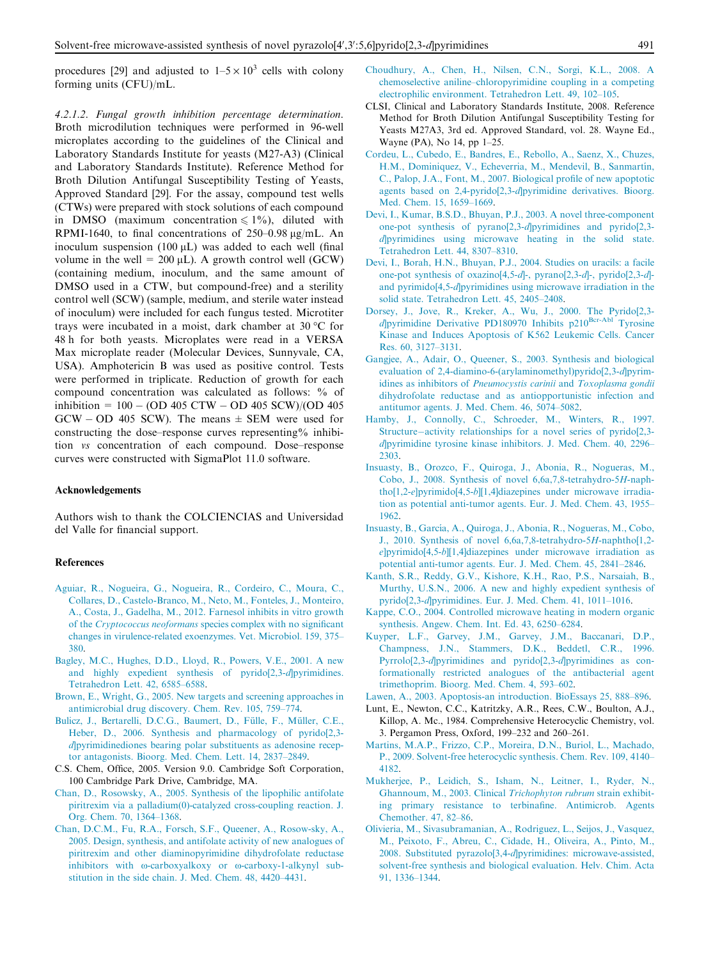<span id="page-10-0"></span>procedures [29] and adjusted to  $1-5 \times 10^3$  cells with colony forming units (CFU)/mL.

4.2.1.2. Fungal growth inhibition percentage determination. Broth microdilution techniques were performed in 96-well microplates according to the guidelines of the Clinical and Laboratory Standards Institute for yeasts (M27-A3) (Clinical and Laboratory Standards Institute). Reference Method for Broth Dilution Antifungal Susceptibility Testing of Yeasts, Approved Standard [29]. For the assay, compound test wells (CTWs) were prepared with stock solutions of each compound in DMSO (maximum concentration  $\leq 1\%$ ), diluted with RPMI-1640, to final concentrations of  $250-0.98 \text{ kg/mL}$ . An inoculum suspension  $(100 \mu L)$  was added to each well (final volume in the well =  $200 \mu L$ ). A growth control well (GCW) (containing medium, inoculum, and the same amount of DMSO used in a CTW, but compound-free) and a sterility control well (SCW) (sample, medium, and sterile water instead of inoculum) were included for each fungus tested. Microtiter trays were incubated in a moist, dark chamber at  $30^{\circ}$ C for 48 h for both yeasts. Microplates were read in a VERSA Max microplate reader (Molecular Devices, Sunnyvale, CA, USA). Amphotericin B was used as positive control. Tests were performed in triplicate. Reduction of growth for each compound concentration was calculated as follows: % of inhibition = 100 - (OD 405 CTW - OD 405 SCW)/(OD 405  $GCW - OD$  405 SCW). The means  $\pm$  SEM were used for constructing the dose–response curves representing% inhibition vs concentration of each compound. Dose–response curves were constructed with SigmaPlot 11.0 software.

#### Acknowledgements

Authors wish to thank the COLCIENCIAS and Universidad del Valle for financial support.

#### References

- [Aguiar, R., Nogueira, G., Nogueira, R., Cordeiro, C., Moura, C.,](http://refhub.elsevier.com/S1878-5352(15)00071-4/h0005) [Collares, D., Castelo-Branco, M., Neto, M., Fonteles, J., Monteiro,](http://refhub.elsevier.com/S1878-5352(15)00071-4/h0005) [A., Costa, J., Gadelha, M., 2012. Farnesol inhibits in vitro growth](http://refhub.elsevier.com/S1878-5352(15)00071-4/h0005) of the Cryptococcus neoformans [species complex with no significant](http://refhub.elsevier.com/S1878-5352(15)00071-4/h0005) [changes in virulence-related exoenzymes. Vet. Microbiol. 159, 375–](http://refhub.elsevier.com/S1878-5352(15)00071-4/h0005) [380.](http://refhub.elsevier.com/S1878-5352(15)00071-4/h0005)
- [Bagley, M.C., Hughes, D.D., Lloyd, R., Powers, V.E., 2001. A new](http://refhub.elsevier.com/S1878-5352(15)00071-4/h0010) [and highly expedient synthesis of pyrido\[2,3-](http://refhub.elsevier.com/S1878-5352(15)00071-4/h0010)d]pyrimidines. [Tetrahedron Lett](http://refhub.elsevier.com/S1878-5352(15)00071-4/h0010). 42, 6585–6588.
- [Brown, E., Wright, G., 2005. New targets and screening approaches in](http://refhub.elsevier.com/S1878-5352(15)00071-4/h0020) [antimicrobial drug discovery. Chem. Rev. 105, 759–774](http://refhub.elsevier.com/S1878-5352(15)00071-4/h0020).
- Bulicz, J., Bertarelli, D.C.G., Baumert, D., Fülle, F., Müller, C.E., [Heber, D., 2006. Synthesis and pharmacology of pyrido\[2,3](http://refhub.elsevier.com/S1878-5352(15)00071-4/h0025)  $d$ pyrimidinediones bearing polar substituents as adenosine recep[tor antagonists. Bioorg. Med. Chem](http://refhub.elsevier.com/S1878-5352(15)00071-4/h0025). Lett. 14, 2837–2849.
- C.S. Chem, Office, 2005. Version 9.0. Cambridge Soft Corporation, 100 Cambridge Park Drive, Cambridge, MA.
- [Chan, D., Rosowsky, A., 2005. Synthesis of the lipophilic antifolate](http://refhub.elsevier.com/S1878-5352(15)00071-4/h0030) [piritrexim via a palladium\(0\)-catalyzed cross-coupling reaction. J.](http://refhub.elsevier.com/S1878-5352(15)00071-4/h0030) [Org. Chem. 70, 1364–1368](http://refhub.elsevier.com/S1878-5352(15)00071-4/h0030).
- [Chan, D.C.M., Fu, R.A., Forsch, S.F., Queener, A., Rosow-sky, A.,](http://refhub.elsevier.com/S1878-5352(15)00071-4/h0035) [2005. Design, synthesis, and antifolate activity of new analogues of](http://refhub.elsevier.com/S1878-5352(15)00071-4/h0035) [piritrexim and other diaminopyrimidine dihydrofolate reductase](http://refhub.elsevier.com/S1878-5352(15)00071-4/h0035) inhibitors with  $\omega$ -carboxyalkoxy or  $\omega$ [-carboxy-1-alkynyl sub](http://refhub.elsevier.com/S1878-5352(15)00071-4/h0035)[stitution in the side chain. J. Med. Chem. 48, 4420–4431.](http://refhub.elsevier.com/S1878-5352(15)00071-4/h0035)
- [Choudhury, A., Chen, H., Nilsen, C.N., Sorgi, K.L., 2008. A](http://refhub.elsevier.com/S1878-5352(15)00071-4/h0040) [chemoselective aniline–chloropyrimidine coupling in a competing](http://refhub.elsevier.com/S1878-5352(15)00071-4/h0040) [electrophilic environment. Tetrahedron Lett. 49, 102–105](http://refhub.elsevier.com/S1878-5352(15)00071-4/h0040).
- CLSI, Clinical and Laboratory Standards Institute, 2008. Reference Method for Broth Dilution Antifungal Susceptibility Testing for Yeasts M27A3, 3rd ed. Approved Standard, vol. 28. Wayne Ed., Wayne (PA), No 14, pp 1–25.
- [Cordeu, L., Cubedo, E., Bandres, E., Rebollo, A., Saenz, X., Chuzes,](http://refhub.elsevier.com/S1878-5352(15)00071-4/h0050) H.M., Dominiquez, V., Echeverria, M., Mendevil, B., Sanmartín, [C., Palop, J.A., Font, M., 2007. Biological profile of new apoptotic](http://refhub.elsevier.com/S1878-5352(15)00071-4/h0050) [agents based on 2,4-pyrido\[2,3-](http://refhub.elsevier.com/S1878-5352(15)00071-4/h0050)d]pyrimidine derivatives. Bioorg. [Med. Chem. 15, 1659–1669.](http://refhub.elsevier.com/S1878-5352(15)00071-4/h0050)
- [Devi, I., Kumar, B.S.D., Bhuyan, P.J., 2003. A novel three-component](http://refhub.elsevier.com/S1878-5352(15)00071-4/h0060) [one-pot synthesis of pyrano\[2,3-](http://refhub.elsevier.com/S1878-5352(15)00071-4/h0060)d]pyrimidines and pyrido[2,3  $d$  pyrimidines using microwave heating in the solid state. [Tetrahedron Lett. 44, 8307–8310.](http://refhub.elsevier.com/S1878-5352(15)00071-4/h0060)
- [Devi, I., Borah, H.N., Bhuyan, P.J., 2004. Studies on uracils: a facile](http://refhub.elsevier.com/S1878-5352(15)00071-4/h0065) [one-pot synthesis of oxazino\[4,5-](http://refhub.elsevier.com/S1878-5352(15)00071-4/h0065)d]-, pyrano[2,3-d]-, pyrido[2,3-d] and pyrimido[4,5-d[\]pyrimidines using microwave irradiation in the](http://refhub.elsevier.com/S1878-5352(15)00071-4/h0065) [solid state. Tetrahedron Lett. 45, 2405–2408.](http://refhub.elsevier.com/S1878-5352(15)00071-4/h0065)
- [Dorsey, J., Jove, R., Kreker, A., Wu, J., 2000. The Pyrido\[2,3-](http://refhub.elsevier.com/S1878-5352(15)00071-4/h0070) d[\]pyrimidine](http://refhub.elsevier.com/S1878-5352(15)00071-4/h0070) [Derivative](http://refhub.elsevier.com/S1878-5352(15)00071-4/h0070) [PD180970](http://refhub.elsevier.com/S1878-5352(15)00071-4/h0070) [Inhibits](http://refhub.elsevier.com/S1878-5352(15)00071-4/h0070) [p210Bcr-Abl](http://refhub.elsevier.com/S1878-5352(15)00071-4/h0070) [Tyrosine](http://refhub.elsevier.com/S1878-5352(15)00071-4/h0070) [Kinase and Induces Apoptosis of K562 Leukemic Cells. Cancer](http://refhub.elsevier.com/S1878-5352(15)00071-4/h0070) [Res. 60, 3127–3131.](http://refhub.elsevier.com/S1878-5352(15)00071-4/h0070)
- [Gangjee, A., Adair, O., Queener, S., 2003. Synthesis and biological](http://refhub.elsevier.com/S1878-5352(15)00071-4/h0075) [evaluation of 2,4-diamino-6-\(arylaminomethyl\)pyrido\[2,3-](http://refhub.elsevier.com/S1878-5352(15)00071-4/h0075)d]pyrim[idines as inhibitors of](http://refhub.elsevier.com/S1878-5352(15)00071-4/h0075) Pneumocystis carinii and Toxoplasma gondii [dihydrofolate reductase and as antiopportunistic infection and](http://refhub.elsevier.com/S1878-5352(15)00071-4/h0075) [antitumor agents. J. Med. Chem. 46, 5074–5082](http://refhub.elsevier.com/S1878-5352(15)00071-4/h0075).
- [Hamby, J., Connolly, C., Schroeder, M., Winters, R., 1997.](http://refhub.elsevier.com/S1878-5352(15)00071-4/h0085) [Structure](http://refhub.elsevier.com/S1878-5352(15)00071-4/h0085)-[activity relationships for a novel series of pyrido\[2,3](http://refhub.elsevier.com/S1878-5352(15)00071-4/h0085) d[\]pyrimidine tyrosine kinase inhibitors. J. Med. Chem. 40, 2296–](http://refhub.elsevier.com/S1878-5352(15)00071-4/h0085) [2303.](http://refhub.elsevier.com/S1878-5352(15)00071-4/h0085)
- [Insuasty, B., Orozco, F., Quiroga, J., Abonia, R., Nogueras, M.,](http://refhub.elsevier.com/S1878-5352(15)00071-4/h0095) [Cobo, J., 2008. Synthesis of novel 6,6a,7,8-tetrahydro-5](http://refhub.elsevier.com/S1878-5352(15)00071-4/h0095)H-naphtho[1,2-e]pyrimido[4,5-b[\]\[1,4\]diazepines under microwave irradia](http://refhub.elsevier.com/S1878-5352(15)00071-4/h0095)[tion as potential anti-tumor agents. Eur. J. Med. Chem. 43, 1955–](http://refhub.elsevier.com/S1878-5352(15)00071-4/h0095) [1962.](http://refhub.elsevier.com/S1878-5352(15)00071-4/h0095)
- Insuasty, B., García, A., Quiroga, J., Abonia, R., Nogueras, M., Cobo, [J., 2010. Synthesis of novel 6,6a,7,8-tetrahydro-5](http://refhub.elsevier.com/S1878-5352(15)00071-4/h0090)H-naphtho[1,2 e]pyrimido[4,5-b[\]\[1,4\]diazepines under microwave irradiation as](http://refhub.elsevier.com/S1878-5352(15)00071-4/h0090) [potential anti-tumor agents. Eur. J. Med. Chem. 45, 2841–2846](http://refhub.elsevier.com/S1878-5352(15)00071-4/h0090).
- [Kanth, S.R., Reddy, G.V., Kishore, K.H., Rao, P.S., Narsaiah, B.,](http://refhub.elsevier.com/S1878-5352(15)00071-4/h0100) [Murthy, U.S.N., 2006. A new and highly expedient synthesis of](http://refhub.elsevier.com/S1878-5352(15)00071-4/h0100) pyrido[2,3-d[\]pyrimidines. Eur. J. Med. Chem. 41, 1011–1016.](http://refhub.elsevier.com/S1878-5352(15)00071-4/h0100)
- [Kappe, C.O., 2004. Controlled microwave heating in modern organic](http://refhub.elsevier.com/S1878-5352(15)00071-4/h0105) [synthesis. Angew. Chem. Int. Ed. 43, 6250–6284](http://refhub.elsevier.com/S1878-5352(15)00071-4/h0105).
- [Kuyper, L.F., Garvey, J.M., Garvey, J.M., Baccanari, D.P.,](http://refhub.elsevier.com/S1878-5352(15)00071-4/h0110) [Champness, J.N., Stammers, D.K., Beddetl, C.R., 1996.](http://refhub.elsevier.com/S1878-5352(15)00071-4/h0110) Pyrrolo[2,3-d[\]pyrimidines and pyrido\[2,3-](http://refhub.elsevier.com/S1878-5352(15)00071-4/h0110)d]pyrimidines as con[formationally restricted analogues of the antibacterial agent](http://refhub.elsevier.com/S1878-5352(15)00071-4/h0110) [trimethoprim. Bioorg. Med. Chem. 4, 593–602](http://refhub.elsevier.com/S1878-5352(15)00071-4/h0110).
- [Lawen, A., 2003. Apoptosis-an introduction. BioEssays 25, 888–896.](http://refhub.elsevier.com/S1878-5352(15)00071-4/h0115)
- Lunt, E., Newton, C.C., Katritzky, A.R., Rees, C.W., Boulton, A.J., Killop, A. Mc., 1984. Comprehensive Heterocyclic Chemistry, vol. 3. Pergamon Press, Oxford, 199–232 and 260–261.
- [Martins, M.A.P., Frizzo, C.P., Moreira, D.N., Buriol, L., Machado,](http://refhub.elsevier.com/S1878-5352(15)00071-4/h0125) [P., 2009. Solvent-free heterocyclic synthesis. Chem. Rev. 109, 4140–](http://refhub.elsevier.com/S1878-5352(15)00071-4/h0125) [4182.](http://refhub.elsevier.com/S1878-5352(15)00071-4/h0125)
- [Mukherjee, P., Leidich, S., Isham, N., Leitner, I., Ryder, N.,](http://refhub.elsevier.com/S1878-5352(15)00071-4/h0130) [Ghannoum, M., 2003. Clinical](http://refhub.elsevier.com/S1878-5352(15)00071-4/h0130) Trichophyton rubrum strain exhibit[ing primary resistance to terbinafine. Antimicrob. Agents](http://refhub.elsevier.com/S1878-5352(15)00071-4/h0130) [Chemother. 47, 82–86](http://refhub.elsevier.com/S1878-5352(15)00071-4/h0130).
- [Olivieria, M., Sivasubramanian, A., Rodriguez, L., Seijos, J., Vasquez,](http://refhub.elsevier.com/S1878-5352(15)00071-4/h0135) [M., Peixoto, F., Abreu, C., Cidade, H., Oliveira, A., Pinto, M.,](http://refhub.elsevier.com/S1878-5352(15)00071-4/h0135) 2008. Substituted pyrazolo[3,4-d[\]pyrimidines: microwave-assisted,](http://refhub.elsevier.com/S1878-5352(15)00071-4/h0135) [solvent-free synthesis and biological evaluation. Helv. Chim. Acta](http://refhub.elsevier.com/S1878-5352(15)00071-4/h0135) [91, 1336–1344](http://refhub.elsevier.com/S1878-5352(15)00071-4/h0135).